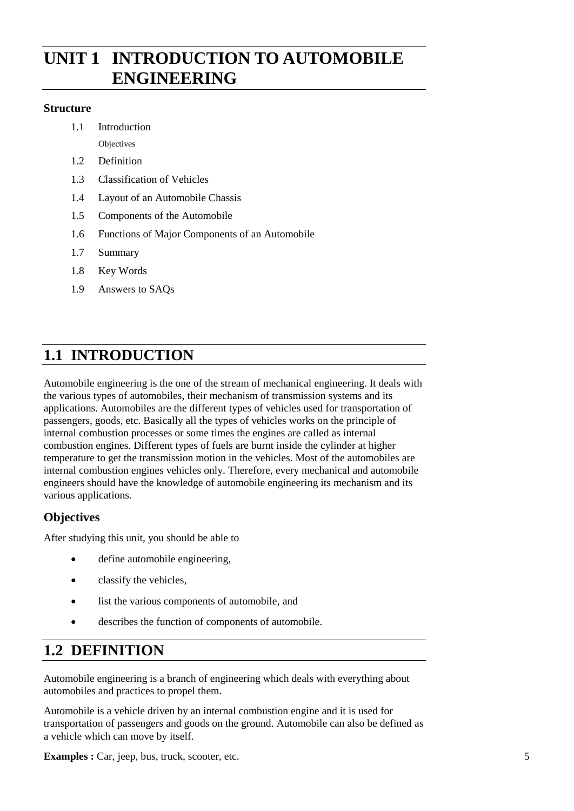# **INIT 1 INTRODUCTION TO AUTOMOBILE ENGINEERING**

### **Structure**

1.1 Introduction **Objectives** 

- 1.2 Definition
- 1.3 Classification of Vehicles
- 1.4 Layout of an Automobile Chassis
- 1.5 Components of the Automobile
- 1.6 Functions of Major Components of an Automobile
- 1.7 Summary
- 1.8 Key Words
- 1.9 Answers to SAQs

# **1.1 INTRODUCTION**

Automobile engineering is the one of the stream of mechanical engineering. It deals with the various types of automobiles, their mechanism of transmission systems and its applications. Automobiles are the different types of vehicles used for transportation of passengers, goods, etc. Basically all the types of vehicles works on the principle of internal combustion processes or some times the engines are called as internal combustion engines. Different types of fuels are burnt inside the cylinder at higher temperature to get the transmission motion in the vehicles. Most of the automobiles are internal combustion engines vehicles only. Therefore, every mechanical and automobile engineers should have the knowledge of automobile engineering its mechanism and its various applications.

### **Objectives**

After studying this unit, you should be able to

- define automobile engineering,
- classify the vehicles,
- list the various components of automobile, and
- describes the function of components of automobile.

# **1.2 DEFINITION**

Automobile engineering is a branch of engineering which deals with everything about automobiles and practices to propel them.

Automobile is a vehicle driven by an internal combustion engine and it is used for transportation of passengers and goods on the ground. Automobile can also be defined as a vehicle which can move by itself.

**Examples :** Car, jeep, bus, truck, scooter, etc.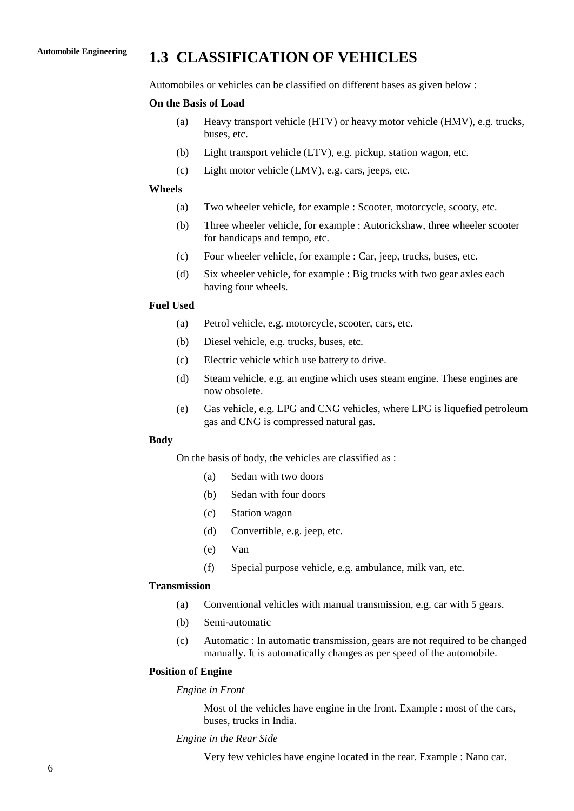## **Automobile Engineering 1.3 CLASSIFICATION OF VEHICLES**

Automobiles or vehicles can be classified on different bases as given below :

### **On the Basis of Load**

- (a) Heavy transport vehicle (HTV) or heavy motor vehicle (HMV), e.g. trucks, buses, etc.
- (b) Light transport vehicle (LTV), e.g. pickup, station wagon, etc.
- (c) Light motor vehicle (LMV), e.g. cars, jeeps, etc.

#### **Wheels**

- (a) Two wheeler vehicle, for example : Scooter, motorcycle, scooty, etc.
- (b) Three wheeler vehicle, for example : Autorickshaw, three wheeler scooter for handicaps and tempo, etc.
- (c) Four wheeler vehicle, for example : Car, jeep, trucks, buses, etc.
- (d) Six wheeler vehicle, for example : Big trucks with two gear axles each having four wheels.

### **Fuel Used**

- (a) Petrol vehicle, e.g. motorcycle, scooter, cars, etc.
- (b) Diesel vehicle, e.g. trucks, buses, etc.
- (c) Electric vehicle which use battery to drive.
- (d) Steam vehicle, e.g. an engine which uses steam engine. These engines are now obsolete.
- (e) Gas vehicle, e.g. LPG and CNG vehicles, where LPG is liquefied petroleum gas and CNG is compressed natural gas.

#### **Body**

On the basis of body, the vehicles are classified as :

- (a) Sedan with two doors
- (b) Sedan with four doors
- (c) Station wagon
- (d) Convertible, e.g. jeep, etc.
- (e) Van
- (f) Special purpose vehicle, e.g. ambulance, milk van, etc.

#### **Transmission**

- (a) Conventional vehicles with manual transmission, e.g. car with 5 gears.
- (b) Semi-automatic
- (c) Automatic : In automatic transmission, gears are not required to be changed manually. It is automatically changes as per speed of the automobile.

### **Position of Engine**

### *Engine in Front*

Most of the vehicles have engine in the front. Example : most of the cars, buses, trucks in India.

#### *Engine in the Rear Side*

Very few vehicles have engine located in the rear. Example : Nano car.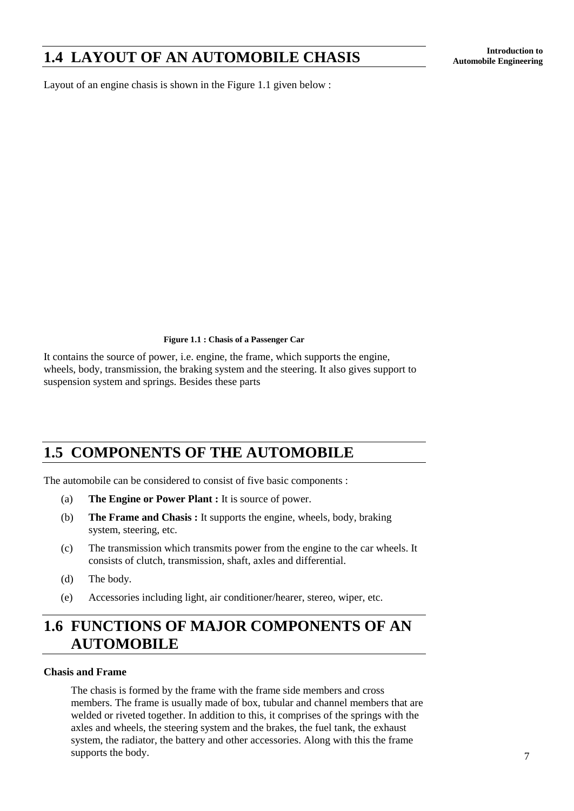# **Introduction to 1.4 LAYOUT OF AN AUTOMOBILE CHASIS Automobile Engineering**

Layout of an engine chasis is shown in the Figure 1.1 given below :

**Figure 1.1 : Chasis of a Passenger Car**

It contains the source of power, i.e. engine, the frame, which supports the engine, wheels, body, transmission, the braking system and the steering. It also gives support to suspension system and springs. Besides these parts

# **1.5 COMPONENTS OF THE AUTOMOBILE**

The automobile can be considered to consist of five basic components :

- (a) **The Engine or Power Plant :** It is source of power.
- (b) **The Frame and Chasis :** It supports the engine, wheels, body, braking system, steering, etc.
- (c) The transmission which transmits power from the engine to the car wheels. It consists of clutch, transmission, shaft, axles and differential.
- (d) The body.
- (e) Accessories including light, air conditioner/hearer, stereo, wiper, etc.

# **1.6 FUNCTIONS OF MAJOR COMPONENTS OF AN AUTOMOBILE**

### **Chasis and Frame**

The chasis is formed by the frame with the frame side members and cross members. The frame is usually made of box, tubular and channel members that are welded or riveted together. In addition to this, it comprises of the springs with the axles and wheels, the steering system and the brakes, the fuel tank, the exhaust system, the radiator, the battery and other accessories. Along with this the frame supports the body.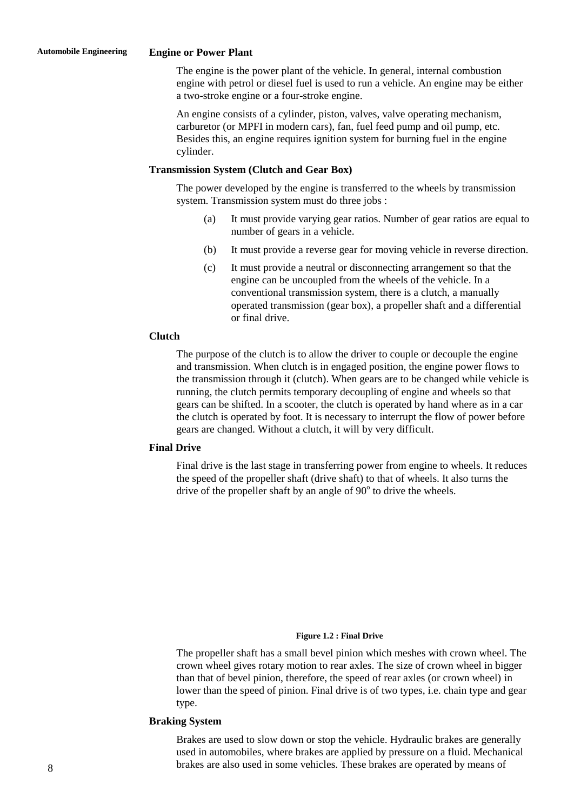#### **Automobile Engineering Engine or Power Plant**

The engine is the power plant of the vehicle. In general, internal combustion engine with petrol or diesel fuel is used to run a vehicle. An engine may be either a two-stroke engine or a four-stroke engine.

An engine consists of a cylinder, piston, valves, valve operating mechanism, carburetor (or MPFI in modern cars), fan, fuel feed pump and oil pump, etc. Besides this, an engine requires ignition system for burning fuel in the engine cylinder.

#### **Transmission System (Clutch and Gear Box)**

The power developed by the engine is transferred to the wheels by transmission system. Transmission system must do three jobs :

- (a) It must provide varying gear ratios. Number of gear ratios are equal to number of gears in a vehicle.
- (b) It must provide a reverse gear for moving vehicle in reverse direction.
- (c) It must provide a neutral or disconnecting arrangement so that the engine can be uncoupled from the wheels of the vehicle. In a conventional transmission system, there is a clutch, a manually operated transmission (gear box), a propeller shaft and a differential or final drive.

### **Clutch**

The purpose of the clutch is to allow the driver to couple or decouple the engine and transmission. When clutch is in engaged position, the engine power flows to the transmission through it (clutch). When gears are to be changed while vehicle is running, the clutch permits temporary decoupling of engine and wheels so that gears can be shifted. In a scooter, the clutch is operated by hand where as in a car the clutch is operated by foot. It is necessary to interrupt the flow of power before gears are changed. Without a clutch, it will by very difficult.

### **Final Drive**

Final drive is the last stage in transferring power from engine to wheels. It reduces the speed of the propeller shaft (drive shaft) to that of wheels. It also turns the drive of the propeller shaft by an angle of  $90^\circ$  to drive the wheels.

#### **Figure 1.2 : Final Drive**

The propeller shaft has a small bevel pinion which meshes with crown wheel. The crown wheel gives rotary motion to rear axles. The size of crown wheel in bigger than that of bevel pinion, therefore, the speed of rear axles (or crown wheel) in lower than the speed of pinion. Final drive is of two types, i.e. chain type and gear type.

### **Braking System**

Brakes are used to slow down or stop the vehicle. Hydraulic brakes are generally used in automobiles, where brakes are applied by pressure on a fluid. Mechanical brakes are also used in some vehicles. These brakes are operated by means of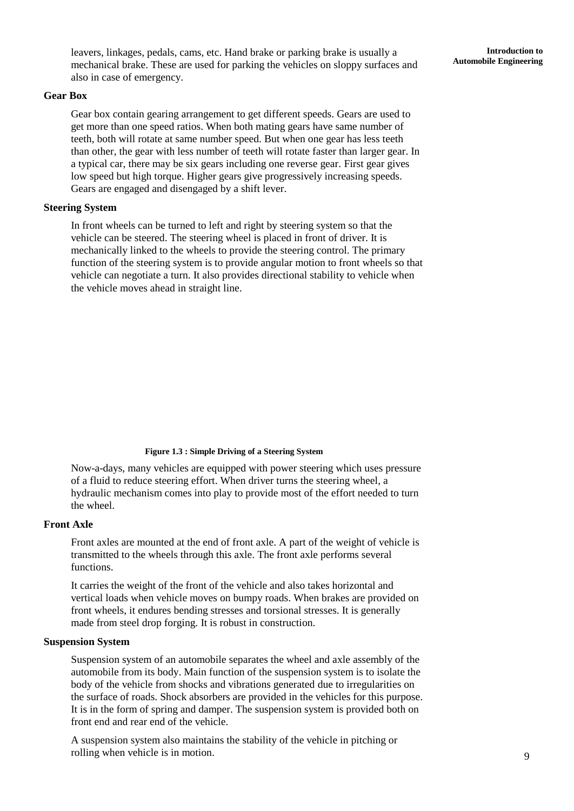leavers, linkages, pedals, cams, etc. Hand brake or parking brake is usually a mechanical brake. These are used for parking the vehicles on sloppy surfaces and also in case of emergency.

#### **Gear Box**

Gear box contain gearing arrangement to get different speeds. Gears are used to get more than one speed ratios. When both mating gears have same number of teeth, both will rotate at same number speed. But when one gear has less teeth than other, the gear with less number of teeth will rotate faster than larger gear. In a typical car, there may be six gears including one reverse gear. First gear gives low speed but high torque. Higher gears give progressively increasing speeds. Gears are engaged and disengaged by a shift lever.

### **Steering System**

In front wheels can be turned to left and right by steering system so that the vehicle can be steered. The steering wheel is placed in front of driver. It is mechanically linked to the wheels to provide the steering control. The primary function of the steering system is to provide angular motion to front wheels so that vehicle can negotiate a turn. It also provides directional stability to vehicle when the vehicle moves ahead in straight line.

#### **Figure 1.3 : Simple Driving of a Steering System**

Now-a-days, many vehicles are equipped with power steering which uses pressure of a fluid to reduce steering effort. When driver turns the steering wheel, a hydraulic mechanism comes into play to provide most of the effort needed to turn the wheel.

### **Front Axle**

Front axles are mounted at the end of front axle. A part of the weight of vehicle is transmitted to the wheels through this axle. The front axle performs several functions.

It carries the weight of the front of the vehicle and also takes horizontal and vertical loads when vehicle moves on bumpy roads. When brakes are provided on front wheels, it endures bending stresses and torsional stresses. It is generally made from steel drop forging. It is robust in construction.

#### **Suspension System**

Suspension system of an automobile separates the wheel and axle assembly of the automobile from its body. Main function of the suspension system is to isolate the body of the vehicle from shocks and vibrations generated due to irregularities on the surface of roads. Shock absorbers are provided in the vehicles for this purpose. It is in the form of spring and damper. The suspension system is provided both on front end and rear end of the vehicle.

A suspension system also maintains the stability of the vehicle in pitching or rolling when vehicle is in motion.